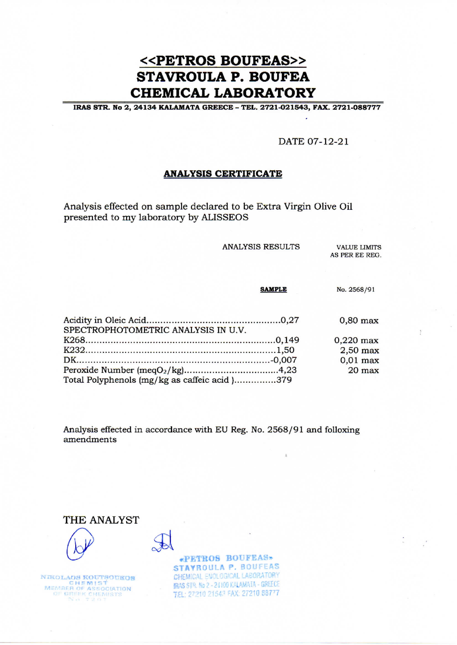# <<PETROS BOUFEAS>> **STAVROULA P. BOUFEA CHEMICAL LABORATORY**

IRAS STR. No 2, 24134 KALAMATA GREECE - TEL. 2721-021543, FAX. 2721-088777

DATE 07-12-21

#### **ANALYSIS CERTIFICATE**

Analysis effected on sample declared to be Extra Virgin Olive Oil presented to my laboratory by ALISSEOS

**ANALYSIS RESULTS** 

**VALUE LIMITS** AS PER EE REG.

|                                              | <b>SAMPLE</b> | No. 2568/91 |
|----------------------------------------------|---------------|-------------|
|                                              |               | $0,80$ max  |
| SPECTROPHOTOMETRIC ANALYSIS IN U.V.          |               |             |
|                                              |               | $0,220$ max |
|                                              |               | $2,50$ max  |
|                                              |               | $0,01$ max  |
|                                              |               | $20$ max    |
| Total Polyphenols (mg/kg as caffeic acid)379 |               |             |

Analysis effected in accordance with EU Reg. No. 2568/91 and folloxing amendments





NIKOLAOS KOUTSOUKOS MEMBER OF ASSOCIATION<br>OF GREEK CHEMISTS<br>NO 7207

«PETROS BOUFEAS» STAYROULA P. BOUFEAS CHEMICAL ENOLOGICAL LABORATORY **IRAS STR. No 2 - 24100 KALAMATA - GREECE** TEL: 27210 21543 FAX: 27210 88777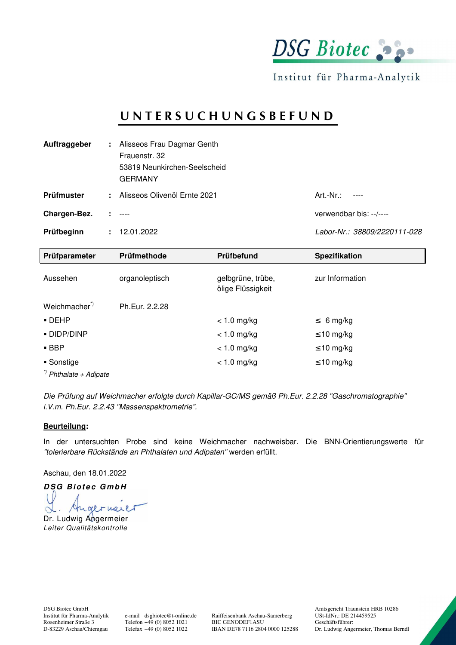

Institut für Pharma-Analytik

## **U N T E R S U C H U N G S B E F U N D**

| Auftraggeber | ÷. | Alisseos Frau Dagmar Genth<br>Frauenstr, 32<br>53819 Neunkirchen-Seelscheid<br><b>GERMANY</b> |                              |
|--------------|----|-----------------------------------------------------------------------------------------------|------------------------------|
| Prüfmuster   | ÷. | Alisseos Olivenöl Ernte 2021                                                                  | $Art.-Nr.$ :<br>-----        |
| Chargen-Bez. |    | $1 - 1 - 1 = 1$                                                                               | verwendbar bis: --/----      |
| Prüfbeginn   |    | : 12.01.2022                                                                                  | Labor-Nr.: 38809/2220111-028 |

| Prüfparameter                     | Prüfmethode    | Prüfbefund                             | <b>Spezifikation</b> |
|-----------------------------------|----------------|----------------------------------------|----------------------|
| Aussehen                          | organoleptisch | gelbgrüne, trübe,<br>ölige Flüssigkeit | zur Information      |
| Weichmacher <sup>*</sup>          | Ph.Eur. 2.2.28 |                                        |                      |
| $\blacksquare$ DEHP               |                | $< 1.0$ mg/kg                          | $\leq 6$ mg/kg       |
| - DIDP/DINP                       |                | $< 1.0$ mg/kg                          | $\leq 10$ mg/kg      |
| $\blacksquare$ BBP                |                | $< 1.0$ mg/kg                          | $\leq 10$ mg/kg      |
| ■ Sonstige                        |                | $< 1.0$ mg/kg                          | $\leq 10$ mg/kg      |
| <sup>*)</sup> Phthalate + Adipate |                |                                        |                      |

Die Prüfung auf Weichmacher erfolgte durch Kapillar-GC/MS gemäß Ph.Eur. 2.2.28 "Gaschromatographie" i.V.m. Ph.Eur. 2.2.43 "Massenspektrometrie".

#### **Beurteilung:**

In der untersuchten Probe sind keine Weichmacher nachweisbar. Die BNN-Orientierungswerte für "tolerierbare Rückstände an Phthalaten und Adipaten" werden erfüllt.

Aschau, den 18.01.2022

**DSG Biotec GmbH** Angermerer  $\sim$ Dr. Ludwig Angermeier

Leiter Qualitätskontrolle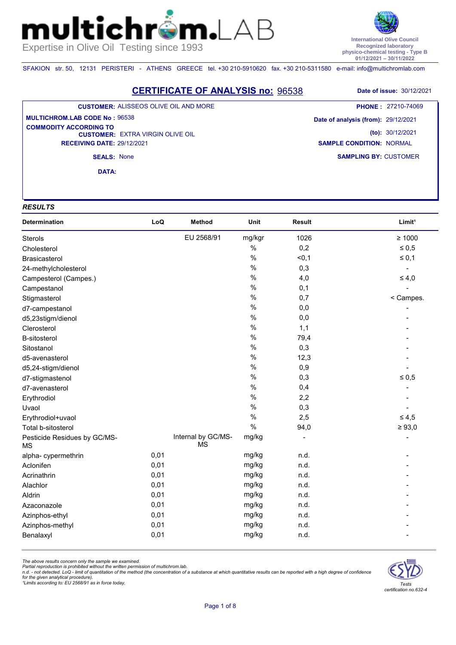**International Olive Council Recognized laboratory physico-chemical testing - Type B 01/12/2021 – 30/11/2022**

**SAMPLING BY:** CUSTOMER

**SAMPLE CONDITION:** NORMAL

SFAKION str. 50, 12131 PERISTERI - ATHENS GREECE tel. +30 210-5910620 fax. +30 210-5311580 e-mail: info@multichromlab.com

 $\mathsf{n}\mathsf{L}$ 

**CERTIFICATE OF ANALYSIS no:** 96538 **Date of issue:** 30/12/2021 **CUSTOMER: EXTRA VIRGIN OLIVE OIL CUSTOMER:** ALISSEOS OLIVE OIL AND MORE **MULTICHROM.LAB CODE No :** 96538 **Date of analysis (from):** 29/12/2021 **(to):** 30/12/2021 **PHONE :** 27210-74069 **COMMODITY ACCORDING TO** 

**SEALS:** None

**DATA:**

**RECEIVING DATE:** 29/12/2021

#### *RESULTS*

mul

| <b>Determination</b>                      | LoQ  | <b>Method</b>                   | Unit   | <b>Result</b> | Limit <sup>1</sup> |
|-------------------------------------------|------|---------------------------------|--------|---------------|--------------------|
| Sterols                                   |      | EU 2568/91                      | mg/kgr | 1026          | $\geq 1000$        |
| Cholesterol                               |      |                                 | $\%$   | 0,2           | $\leq 0.5$         |
| Brasicasterol                             |      |                                 | $\%$   | < 0, 1        | $\leq 0,1$         |
| 24-methylcholesterol                      |      |                                 | $\%$   | 0,3           |                    |
| Campesterol (Campes.)                     |      |                                 | $\%$   | 4,0           | $\leq 4,0$         |
| Campestanol                               |      |                                 | $\%$   | 0,1           |                    |
| Stigmasterol                              |      |                                 | $\%$   | 0,7           | < Campes.          |
| d7-campestanol                            |      |                                 | $\%$   | 0,0           |                    |
| d5,23stigm/dienol                         |      |                                 | $\%$   | 0,0           |                    |
| Clerosterol                               |      |                                 | $\%$   | 1,1           |                    |
| <b>B-sitosterol</b>                       |      |                                 | $\%$   | 79,4          |                    |
| Sitostanol                                |      |                                 | $\%$   | 0,3           |                    |
| d5-avenasterol                            |      |                                 | $\%$   | 12,3          |                    |
| d5,24-stigm/dienol                        |      |                                 | $\%$   | 0,9           |                    |
| d7-stigmastenol                           |      |                                 | $\%$   | 0,3           | $\leq 0,5$         |
| d7-avenasterol                            |      |                                 | $\%$   | 0,4           |                    |
| Erythrodiol                               |      |                                 | $\%$   | 2,2           |                    |
| Uvaol                                     |      |                                 | $\%$   | 0,3           |                    |
| Erythrodiol+uvaol                         |      |                                 | $\%$   | 2,5           | $\leq 4,5$         |
| Total b-sitosterol                        |      |                                 | $\%$   | 94,0          | $\geq 93,0$        |
| Pesticide Residues by GC/MS-<br><b>MS</b> |      | Internal by GC/MS-<br><b>MS</b> | mg/kg  |               |                    |
| alpha-cypermethrin                        | 0,01 |                                 | mg/kg  | n.d.          |                    |
| Aclonifen                                 | 0,01 |                                 | mg/kg  | n.d.          |                    |
| Acrinathrin                               | 0,01 |                                 | mg/kg  | n.d.          |                    |
| Alachlor                                  | 0,01 |                                 | mg/kg  | n.d.          |                    |
| Aldrin                                    | 0,01 |                                 | mg/kg  | n.d.          |                    |
| Azaconazole                               | 0,01 |                                 | mg/kg  | n.d.          |                    |
| Azinphos-ethyl                            | 0,01 |                                 | mg/kg  | n.d.          |                    |
| Azinphos-methyl                           | 0,01 |                                 | mg/kg  | n.d.          |                    |
| Benalaxyl                                 | 0,01 |                                 | mg/kg  | n.d.          |                    |

*The above results concern only the sample we examined.* 

Partial reproduction is prohibited without the written permission of multichrom.lab.<br>n.d. - not detected. LoQ - limit of quantitation of the method (the concentration of a substance at which quantitative results can be rep

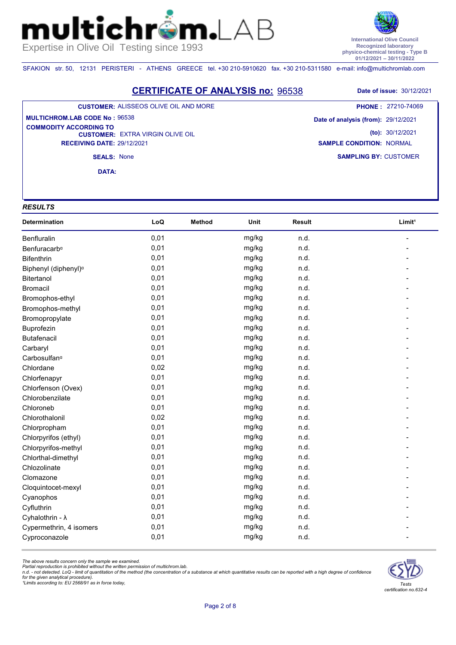**International Olive Council Recognized laboratory physico-chemical testing - Type B 01/12/2021 – 30/11/2022**

SFAKION str. 50, 12131 PERISTERI - ATHENS GREECE tel. +30 210-5910620 fax. +30 210-5311580 e-mail: info@multichromlab.com

 $\mathbf{n}$ 

**CERTIFICATE OF ANALYSIS no:** 96538 **Date of issue:** 30/12/2021

#### **CUSTOMER:** ALISSEOS OLIVE OIL AND MORE

#### **CUSTOMER: EXTRA VIRGIN OLIVE OIL RECEIVING DATE:** 29/12/2021 **MULTICHROM.LAB CODE No :** 96538 **COMMODITY ACCORDING TO**

**SAMPLING BY:** CUSTOMER **Date of analysis (from):** 29/12/2021 **(to):** 30/12/2021 **SAMPLE CONDITION:** NORMAL **PHONE :** 27210-74069

**SEALS:** None

**DATA:**

#### *RESULTS*

mul

| Determination                    | LoQ  | <b>Method</b> | Unit  | Result | Limit <sup>1</sup> |
|----------------------------------|------|---------------|-------|--------|--------------------|
| Benfluralin                      | 0,01 |               | mg/kg | n.d.   |                    |
| Benfuracarb <sup>a</sup>         | 0,01 |               | mg/kg | n.d.   |                    |
| <b>Bifenthrin</b>                | 0,01 |               | mg/kg | n.d.   |                    |
| Biphenyl (diphenyl) <sup>a</sup> | 0,01 |               | mg/kg | n.d.   |                    |
| Bitertanol                       | 0,01 |               | mg/kg | n.d.   |                    |
| <b>Bromacil</b>                  | 0,01 |               | mg/kg | n.d.   |                    |
| Bromophos-ethyl                  | 0,01 |               | mg/kg | n.d.   |                    |
| Bromophos-methyl                 | 0,01 |               | mg/kg | n.d.   |                    |
| Bromopropylate                   | 0,01 |               | mg/kg | n.d.   |                    |
| Buprofezin                       | 0,01 |               | mg/kg | n.d.   |                    |
| <b>Butafenacil</b>               | 0,01 |               | mg/kg | n.d.   |                    |
| Carbaryl                         | 0,01 |               | mg/kg | n.d.   |                    |
| Carbosulfan <sup>o</sup>         | 0,01 |               | mg/kg | n.d.   |                    |
| Chlordane                        | 0,02 |               | mg/kg | n.d.   |                    |
| Chlorfenapyr                     | 0,01 |               | mg/kg | n.d.   |                    |
| Chlorfenson (Ovex)               | 0,01 |               | mg/kg | n.d.   |                    |
| Chlorobenzilate                  | 0,01 |               | mg/kg | n.d.   |                    |
| Chloroneb                        | 0,01 |               | mg/kg | n.d.   |                    |
| Chlorothalonil                   | 0,02 |               | mg/kg | n.d.   |                    |
| Chlorpropham                     | 0,01 |               | mg/kg | n.d.   |                    |
| Chlorpyrifos (ethyl)             | 0,01 |               | mg/kg | n.d.   |                    |
| Chlorpyrifos-methyl              | 0,01 |               | mg/kg | n.d.   |                    |
| Chlorthal-dimethyl               | 0,01 |               | mg/kg | n.d.   |                    |
| Chlozolinate                     | 0,01 |               | mg/kg | n.d.   |                    |
| Clomazone                        | 0,01 |               | mg/kg | n.d.   |                    |
| Cloquintocet-mexyl               | 0,01 |               | mg/kg | n.d.   |                    |
| Cyanophos                        | 0,01 |               | mg/kg | n.d.   |                    |
| Cyfluthrin                       | 0,01 |               | mg/kg | n.d.   |                    |
| Cyhalothrin - λ                  | 0,01 |               | mg/kg | n.d.   |                    |
| Cypermethrin, 4 isomers          | 0,01 |               | mg/kg | n.d.   |                    |
| Cyproconazole                    | 0,01 |               | mg/kg | n.d.   |                    |

*The above results concern only the sample we examined.* 

Partial reproduction is prohibited without the written permission of multichrom.lab.<br>n.d. - not detected. LoQ - limit of quantitation of the method (the concentration of a substance at which quantitative results can be rep

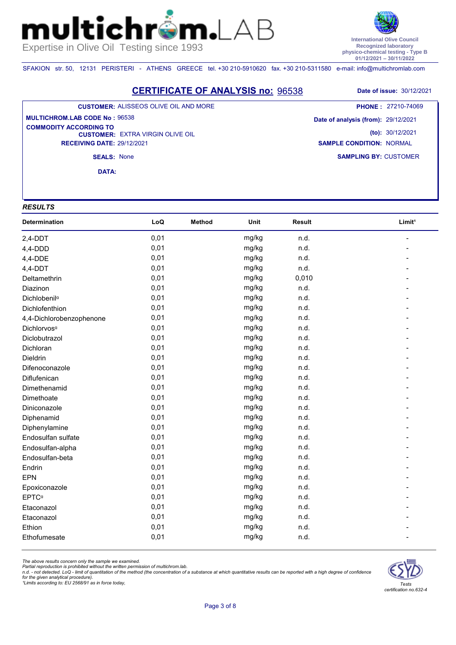**International Olive Council Recognized laboratory physico-chemical testing - Type B 01/12/2021 – 30/11/2022**

SFAKION str. 50, 12131 PERISTERI - ATHENS GREECE tel. +30 210-5910620 fax. +30 210-5311580 e-mail: info@multichromlab.com

 $\mathbf{n}$ 

**CERTIFICATE OF ANALYSIS no:** 96538 **Date of issue:** 30/12/2021 **CUSTOMER:** ALISSEOS OLIVE OIL AND MORE **PHONE :** 27210-74069

**CUSTOMER: EXTRA VIRGIN OLIVE OIL RECEIVING DATE:** 29/12/2021 **MULTICHROM.LAB CODE No :** 96538 **COMMODITY ACCORDING TO** 

**SAMPLING BY:** CUSTOMER **Date of analysis (from):** 29/12/2021 **(to):** 30/12/2021 **SAMPLE CONDITION:** NORMAL

**SEALS:** None

**DATA:**

#### *RESULTS*

mul

| Determination            | LoQ  | <b>Method</b> | Unit  | Result | Limit <sup>1</sup> |
|--------------------------|------|---------------|-------|--------|--------------------|
| $2,4$ -DDT               | 0,01 |               | mg/kg | n.d.   |                    |
| $4,4$ -DDD               | 0,01 |               | mg/kg | n.d.   |                    |
| 4,4-DDE                  | 0,01 |               | mg/kg | n.d.   |                    |
| $4,4-DDT$                | 0,01 |               | mg/kg | n.d.   |                    |
| Deltamethrin             | 0,01 |               | mg/kg | 0,010  |                    |
| Diazinon                 | 0,01 |               | mg/kg | n.d.   |                    |
| Dichlobenil <sup>a</sup> | 0,01 |               | mg/kg | n.d.   |                    |
| Dichlofenthion           | 0,01 |               | mg/kg | n.d.   |                    |
| 4,4-Dichlorobenzophenone | 0,01 |               | mg/kg | n.d.   |                    |
| Dichlorvos <sup>a</sup>  | 0,01 |               | mg/kg | n.d.   |                    |
| Diclobutrazol            | 0,01 |               | mg/kg | n.d.   |                    |
| Dichloran                | 0,01 |               | mg/kg | n.d.   |                    |
| Dieldrin                 | 0,01 |               | mg/kg | n.d.   |                    |
| Difenoconazole           | 0,01 |               | mg/kg | n.d.   |                    |
| Diflufenican             | 0,01 |               | mg/kg | n.d.   |                    |
| Dimethenamid             | 0,01 |               | mg/kg | n.d.   |                    |
| Dimethoate               | 0,01 |               | mg/kg | n.d.   |                    |
| Diniconazole             | 0,01 |               | mg/kg | n.d.   |                    |
| Diphenamid               | 0,01 |               | mg/kg | n.d.   |                    |
| Diphenylamine            | 0,01 |               | mg/kg | n.d.   |                    |
| Endosulfan sulfate       | 0,01 |               | mg/kg | n.d.   |                    |
| Endosulfan-alpha         | 0,01 |               | mg/kg | n.d.   |                    |
| Endosulfan-beta          | 0,01 |               | mg/kg | n.d.   |                    |
| Endrin                   | 0,01 |               | mg/kg | n.d.   |                    |
| <b>EPN</b>               | 0,01 |               | mg/kg | n.d.   |                    |
| Epoxiconazole            | 0,01 |               | mg/kg | n.d.   |                    |
| <b>EPTC</b> <sup>a</sup> | 0,01 |               | mg/kg | n.d.   |                    |
| Etaconazol               | 0,01 |               | mg/kg | n.d.   |                    |
| Etaconazol               | 0,01 |               | mg/kg | n.d.   |                    |
| Ethion                   | 0,01 |               | mg/kg | n.d.   |                    |
| Ethofumesate             | 0,01 |               | mg/kg | n.d.   |                    |

*The above results concern only the sample we examined.* 

Partial reproduction is prohibited without the written permission of multichrom.lab.<br>n.d. - not detected. LoQ - limit of quantitation of the method (the concentration of a substance at which quantitative results can be rep

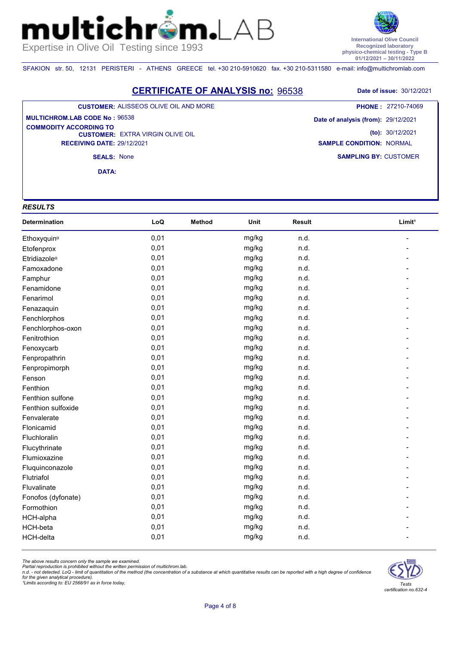**International Olive Council Recognized laboratory physico-chemical testing - Type B 01/12/2021 – 30/11/2022**

SFAKION str. 50, 12131 PERISTERI - ATHENS GREECE tel. +30 210-5910620 fax. +30 210-5311580 e-mail: info@multichromlab.com

 $\mathbf{n}$ 

**CERTIFICATE OF ANALYSIS no:** 96538 **Date of issue:** 30/12/2021

#### **CUSTOMER:** ALISSEOS OLIVE OIL AND MORE

**CUSTOMER: EXTRA VIRGIN OLIVE OIL RECEIVING DATE:** 29/12/2021 **MULTICHROM.LAB CODE No :** 96538 **COMMODITY ACCORDING TO** 

**SAMPLING BY:** CUSTOMER **Date of analysis (from):** 29/12/2021 **(to):** 30/12/2021 **SAMPLE CONDITION:** NORMAL **PHONE :** 27210-74069

**SEALS:** None

**DATA:**

#### *RESULTS*

mul

| Determination            | LoQ  | <b>Method</b> | Unit  | <b>Result</b> | Limit <sup>1</sup> |
|--------------------------|------|---------------|-------|---------------|--------------------|
| Ethoxyquin <sup>a</sup>  | 0,01 |               | mg/kg | n.d.          |                    |
| Etofenprox               | 0,01 |               | mg/kg | n.d.          |                    |
| Etridiazole <sup>a</sup> | 0,01 |               | mg/kg | n.d.          |                    |
| Famoxadone               | 0,01 |               | mg/kg | n.d.          |                    |
| Famphur                  | 0,01 |               | mg/kg | n.d.          |                    |
| Fenamidone               | 0,01 |               | mg/kg | n.d.          |                    |
| Fenarimol                | 0,01 |               | mg/kg | n.d.          |                    |
| Fenazaquin               | 0,01 |               | mg/kg | n.d.          |                    |
| Fenchlorphos             | 0,01 |               | mg/kg | n.d.          |                    |
| Fenchlorphos-oxon        | 0,01 |               | mg/kg | n.d.          |                    |
| Fenitrothion             | 0,01 |               | mg/kg | n.d.          |                    |
| Fenoxycarb               | 0,01 |               | mg/kg | n.d.          |                    |
| Fenpropathrin            | 0,01 |               | mg/kg | n.d.          |                    |
| Fenpropimorph            | 0,01 |               | mg/kg | n.d.          |                    |
| Fenson                   | 0,01 |               | mg/kg | n.d.          |                    |
| Fenthion                 | 0,01 |               | mg/kg | n.d.          |                    |
| Fenthion sulfone         | 0,01 |               | mg/kg | n.d.          |                    |
| Fenthion sulfoxide       | 0,01 |               | mg/kg | n.d.          |                    |
| Fenvalerate              | 0,01 |               | mg/kg | n.d.          |                    |
| Flonicamid               | 0,01 |               | mg/kg | n.d.          |                    |
| Fluchloralin             | 0,01 |               | mg/kg | n.d.          |                    |
| Flucythrinate            | 0,01 |               | mg/kg | n.d.          |                    |
| Flumioxazine             | 0,01 |               | mg/kg | n.d.          |                    |
| Fluquinconazole          | 0,01 |               | mg/kg | n.d.          |                    |
| Flutriafol               | 0,01 |               | mg/kg | n.d.          |                    |
| Fluvalinate              | 0,01 |               | mg/kg | n.d.          |                    |
| Fonofos (dyfonate)       | 0,01 |               | mg/kg | n.d.          |                    |
| Formothion               | 0,01 |               | mg/kg | n.d.          |                    |
| HCH-alpha                | 0,01 |               | mg/kg | n.d.          |                    |
| HCH-beta                 | 0,01 |               | mg/kg | n.d.          |                    |
| HCH-delta                | 0,01 |               | mg/kg | n.d.          |                    |

*The above results concern only the sample we examined.* 

Partial reproduction is prohibited without the written permission of multichrom.lab.<br>n.d. - not detected. LoQ - limit of quantitation of the method (the concentration of a substance at which quantitative results can be rep

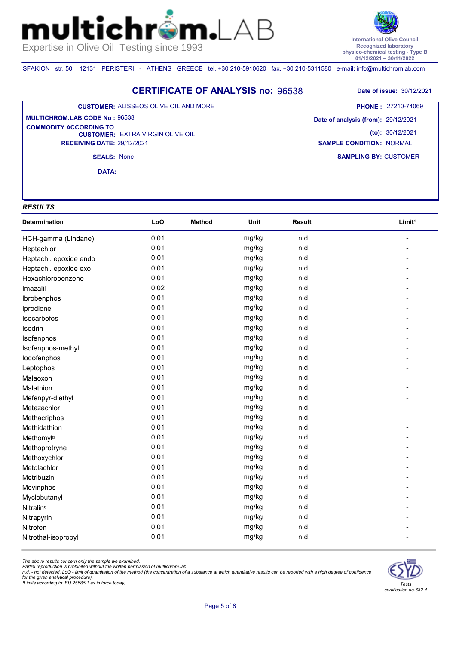**International Olive Council Recognized laboratory physico-chemical testing - Type B 01/12/2021 – 30/11/2022**

SFAKION str. 50, 12131 PERISTERI - ATHENS GREECE tel. +30 210-5910620 fax. +30 210-5311580 e-mail: info@multichromlab.com

 $\mathbf{n}$ 

**CERTIFICATE OF ANALYSIS no:** 96538 **Date of issue:** 30/12/2021

### **CUSTOMER:** ALISSEOS OLIVE OIL AND MORE

**CUSTOMER: EXTRA VIRGIN OLIVE OIL RECEIVING DATE:** 29/12/2021 **MULTICHROM.LAB CODE No :** 96538 **COMMODITY ACCORDING TO** 

**SAMPLING BY:** CUSTOMER **Date of analysis (from):** 29/12/2021 **(to):** 30/12/2021 **SAMPLE CONDITION:** NORMAL **PHONE :** 27210-74069

**SEALS:** None

**DATA:**

#### *RESULTS*

mul

| Determination          | LoQ  | <b>Method</b> | Unit  | Result | Limit <sup>1</sup> |
|------------------------|------|---------------|-------|--------|--------------------|
| HCH-gamma (Lindane)    | 0,01 |               | mg/kg | n.d.   |                    |
| Heptachlor             | 0,01 |               | mg/kg | n.d.   |                    |
| Heptachl. epoxide endo | 0,01 |               | mg/kg | n.d.   |                    |
| Heptachl. epoxide exo  | 0,01 |               | mg/kg | n.d.   |                    |
| Hexachlorobenzene      | 0,01 |               | mg/kg | n.d.   |                    |
| Imazalil               | 0,02 |               | mg/kg | n.d.   |                    |
| Ibrobenphos            | 0,01 |               | mg/kg | n.d.   |                    |
| Iprodione              | 0,01 |               | mg/kg | n.d.   |                    |
| Isocarbofos            | 0,01 |               | mg/kg | n.d.   |                    |
| Isodrin                | 0,01 |               | mg/kg | n.d.   |                    |
| Isofenphos             | 0,01 |               | mg/kg | n.d.   |                    |
| Isofenphos-methyl      | 0,01 |               | mg/kg | n.d.   |                    |
| lodofenphos            | 0,01 |               | mg/kg | n.d.   |                    |
| Leptophos              | 0,01 |               | mg/kg | n.d.   |                    |
| Malaoxon               | 0,01 |               | mg/kg | n.d.   |                    |
| Malathion              | 0,01 |               | mg/kg | n.d.   |                    |
| Mefenpyr-diethyl       | 0,01 |               | mg/kg | n.d.   |                    |
| Metazachlor            | 0,01 |               | mg/kg | n.d.   |                    |
| Methacriphos           | 0,01 |               | mg/kg | n.d.   |                    |
| Methidathion           | 0,01 |               | mg/kg | n.d.   |                    |
| Methomyl <sup>a</sup>  | 0,01 |               | mg/kg | n.d.   |                    |
| Methoprotryne          | 0,01 |               | mg/kg | n.d.   |                    |
| Methoxychlor           | 0,01 |               | mg/kg | n.d.   |                    |
| Metolachlor            | 0,01 |               | mg/kg | n.d.   |                    |
| Metribuzin             | 0,01 |               | mg/kg | n.d.   |                    |
| Mevinphos              | 0,01 |               | mg/kg | n.d.   |                    |
| Myclobutanyl           | 0,01 |               | mg/kg | n.d.   |                    |
| Nitralin <sup>a</sup>  | 0,01 |               | mg/kg | n.d.   |                    |
| Nitrapyrin             | 0,01 |               | mg/kg | n.d.   |                    |
| Nitrofen               | 0,01 |               | mg/kg | n.d.   |                    |
| Nitrothal-isopropyl    | 0,01 |               | mg/kg | n.d.   |                    |

*The above results concern only the sample we examined.* 

Partial reproduction is prohibited without the written permission of multichrom.lab.<br>n.d. - not detected. LoQ - limit of quantitation of the method (the concentration of a substance at which quantitative results can be rep

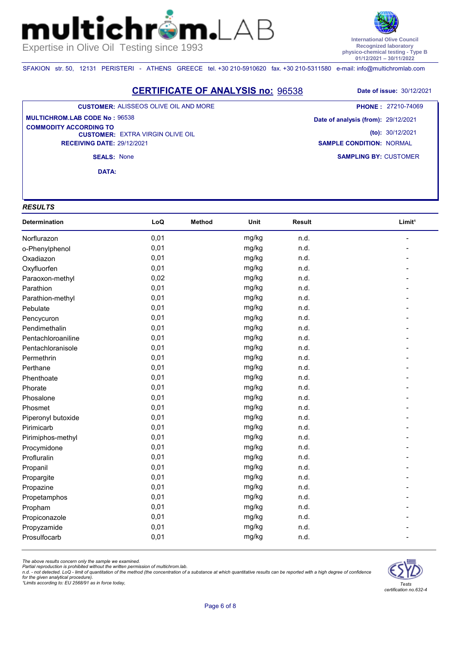**International Olive Council Recognized laboratory physico-chemical testing - Type B 01/12/2021 – 30/11/2022**

SFAKION str. 50, 12131 PERISTERI - ATHENS GREECE tel. +30 210-5910620 fax. +30 210-5311580 e-mail: info@multichromlab.com

 $\mathbf{n}$ 

**CERTIFICATE OF ANALYSIS no:** 96538 **Date of issue:** 30/12/2021

#### **CUSTOMER:** ALISSEOS OLIVE OIL AND MORE

#### **CUSTOMER: EXTRA VIRGIN OLIVE OIL RECEIVING DATE:** 29/12/2021 **MULTICHROM.LAB CODE No :** 96538 **COMMODITY ACCORDING TO**

**SAMPLING BY:** CUSTOMER **Date of analysis (from):** 29/12/2021 **(to):** 30/12/2021 **SAMPLE CONDITION:** NORMAL

**SEALS:** None

**DATA:**

#### *RESULTS*

mul

| Determination      | LoQ  | <b>Method</b> | Unit  | Result | Limit <sup>1</sup> |
|--------------------|------|---------------|-------|--------|--------------------|
| Norflurazon        | 0,01 |               | mg/kg | n.d.   |                    |
| o-Phenylphenol     | 0,01 |               | mg/kg | n.d.   |                    |
| Oxadiazon          | 0,01 |               | mg/kg | n.d.   |                    |
| Oxyfluorfen        | 0,01 |               | mg/kg | n.d.   |                    |
| Paraoxon-methyl    | 0,02 |               | mg/kg | n.d.   |                    |
| Parathion          | 0,01 |               | mg/kg | n.d.   |                    |
| Parathion-methyl   | 0,01 |               | mg/kg | n.d.   |                    |
| Pebulate           | 0,01 |               | mg/kg | n.d.   |                    |
| Pencycuron         | 0,01 |               | mg/kg | n.d.   |                    |
| Pendimethalin      | 0,01 |               | mg/kg | n.d.   |                    |
| Pentachloroaniline | 0,01 |               | mg/kg | n.d.   |                    |
| Pentachloranisole  | 0,01 |               | mg/kg | n.d.   |                    |
| Permethrin         | 0,01 |               | mg/kg | n.d.   |                    |
| Perthane           | 0,01 |               | mg/kg | n.d.   |                    |
| Phenthoate         | 0,01 |               | mg/kg | n.d.   |                    |
| Phorate            | 0,01 |               | mg/kg | n.d.   |                    |
| Phosalone          | 0,01 |               | mg/kg | n.d.   |                    |
| Phosmet            | 0,01 |               | mg/kg | n.d.   |                    |
| Piperonyl butoxide | 0,01 |               | mg/kg | n.d.   |                    |
| Pirimicarb         | 0,01 |               | mg/kg | n.d.   |                    |
| Pirimiphos-methyl  | 0,01 |               | mg/kg | n.d.   |                    |
| Procymidone        | 0,01 |               | mg/kg | n.d.   |                    |
| Profluralin        | 0,01 |               | mg/kg | n.d.   |                    |
| Propanil           | 0,01 |               | mg/kg | n.d.   |                    |
| Propargite         | 0,01 |               | mg/kg | n.d.   |                    |
| Propazine          | 0,01 |               | mg/kg | n.d.   |                    |
| Propetamphos       | 0,01 |               | mg/kg | n.d.   |                    |
| Propham            | 0,01 |               | mg/kg | n.d.   |                    |
| Propiconazole      | 0,01 |               | mg/kg | n.d.   |                    |
| Propyzamide        | 0,01 |               | mg/kg | n.d.   |                    |
| Prosulfocarb       | 0,01 |               | mg/kg | n.d.   |                    |

*The above results concern only the sample we examined.* 

Partial reproduction is prohibited without the written permission of multichrom.lab.<br>n.d. - not detected. LoQ - limit of quantitation of the method (the concentration of a substance at which quantitative results can be rep

for the given analytical procedure).<br>1Limits according to: EU 2568/91 as in force today,



## **PHONE :** 27210-74069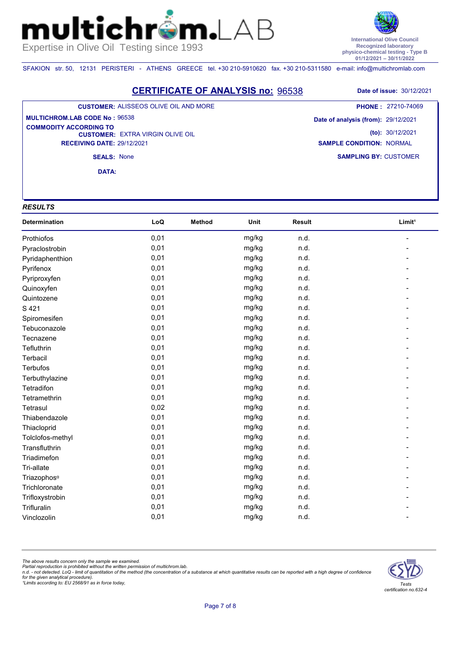**International Olive Council Recognized laboratory physico-chemical testing - Type B 01/12/2021 – 30/11/2022**

SFAKION str. 50, 12131 PERISTERI - ATHENS GREECE tel. +30 210-5910620 fax. +30 210-5311580 e-mail: info@multichromlab.com

 $\mathbf{n}$ 

**CERTIFICATE OF ANALYSIS no:** 96538 **Date of issue:** 30/12/2021

#### **CUSTOMER:** ALISSEOS OLIVE OIL AND MORE

#### **CUSTOMER: EXTRA VIRGIN OLIVE OIL RECEIVING DATE:** 29/12/2021 **MULTICHROM.LAB CODE No :** 96538 **COMMODITY ACCORDING TO**

**SAMPLING BY:** CUSTOMER **Date of analysis (from):** 29/12/2021 **(to):** 30/12/2021 **SAMPLE CONDITION:** NORMAL **PHONE :** 27210-74069

**SEALS:** None

**DATA:**

#### *RESULTS*

mul

| Determination           | LoQ  | <b>Method</b> | Unit  | <b>Result</b> | Limit <sup>1</sup> |
|-------------------------|------|---------------|-------|---------------|--------------------|
| Prothiofos              | 0,01 |               | mg/kg | n.d.          |                    |
| Pyraclostrobin          | 0,01 |               | mg/kg | n.d.          |                    |
| Pyridaphenthion         | 0,01 |               | mg/kg | n.d.          |                    |
| Pyrifenox               | 0,01 |               | mg/kg | n.d.          |                    |
| Pyriproxyfen            | 0,01 |               | mg/kg | n.d.          |                    |
| Quinoxyfen              | 0,01 |               | mg/kg | n.d.          |                    |
| Quintozene              | 0,01 |               | mg/kg | n.d.          |                    |
| S 421                   | 0,01 |               | mg/kg | n.d.          |                    |
| Spiromesifen            | 0,01 |               | mg/kg | n.d.          |                    |
| Tebuconazole            | 0,01 |               | mg/kg | n.d.          |                    |
| Tecnazene               | 0,01 |               | mg/kg | n.d.          |                    |
| Tefluthrin              | 0,01 |               | mg/kg | n.d.          |                    |
| Terbacil                | 0,01 |               | mg/kg | n.d.          |                    |
| <b>Terbufos</b>         | 0,01 |               | mg/kg | n.d.          |                    |
| Terbuthylazine          | 0,01 |               | mg/kg | n.d.          |                    |
| Tetradifon              | 0,01 |               | mg/kg | n.d.          |                    |
| Tetramethrin            | 0,01 |               | mg/kg | n.d.          |                    |
| Tetrasul                | 0,02 |               | mg/kg | n.d.          |                    |
| Thiabendazole           | 0,01 |               | mg/kg | n.d.          |                    |
| Thiacloprid             | 0,01 |               | mg/kg | n.d.          |                    |
| Tolclofos-methyl        | 0,01 |               | mg/kg | n.d.          |                    |
| Transfluthrin           | 0,01 |               | mg/kg | n.d.          |                    |
| Triadimefon             | 0,01 |               | mg/kg | n.d.          |                    |
| Tri-allate              | 0,01 |               | mg/kg | n.d.          |                    |
| Triazophos <sup>a</sup> | 0,01 |               | mg/kg | n.d.          |                    |
| Trichloronate           | 0,01 |               | mg/kg | n.d.          |                    |
| Trifloxystrobin         | 0,01 |               | mg/kg | n.d.          |                    |
| Trifluralin             | 0,01 |               | mg/kg | n.d.          |                    |
| Vinclozolin             | 0,01 |               | mg/kg | n.d.          |                    |

*The above results concern only the sample we examined.* 

Partial reproduction is prohibited without the written permission of multichrom.lab.<br>n.d. - not detected. LoQ - limit of quantitation of the method (the concentration of a substance at which quantitative results can be rep